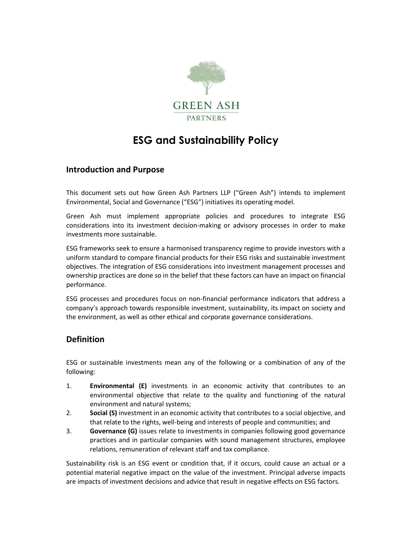

# **ESG and Sustainability Policy**

### **Introduction and Purpose**

This document sets out how Green Ash Partners LLP ("Green Ash") intends to implement Environmental, Social and Governance ("ESG") initiatives its operating model.

Green Ash must implement appropriate policies and procedures to integrate ESG considerations into its investment decision-making or advisory processes in order to make investments more sustainable.

ESG frameworks seek to ensure a harmonised transparency regime to provide investors with a uniform standard to compare financial products for their ESG risks and sustainable investment objectives. The integration of ESG considerations into investment management processes and ownership practices are done so in the belief that these factors can have an impact on financial performance.

ESG processes and procedures focus on non-financial performance indicators that address a company's approach towards responsible investment, sustainability, its impact on society and the environment, as well as other ethical and corporate governance considerations.

# **Definition**

ESG or sustainable investments mean any of the following or a combination of any of the following:

- 1. **Environmental (E)** investments in an economic activity that contributes to an environmental objective that relate to the quality and functioning of the natural environment and natural systems;
- 2. **Social (S)** investment in an economic activity that contributes to a social objective, and that relate to the rights, well-being and interests of people and communities; and
- 3. **Governance (G)** issues relate to investments in companies following good governance practices and in particular companies with sound management structures, employee relations, remuneration of relevant staff and tax compliance.

Sustainability risk is an ESG event or condition that, if it occurs, could cause an actual or a potential material negative impact on the value of the investment. Principal adverse impacts are impacts of investment decisions and advice that result in negative effects on ESG factors.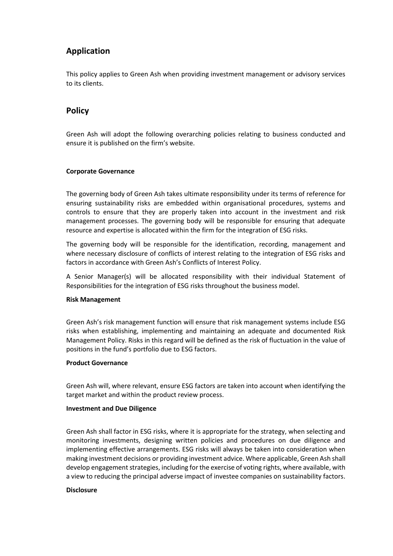# **Application**

This policy applies to Green Ash when providing investment management or advisory services to its clients.

## **Policy**

Green Ash will adopt the following overarching policies relating to business conducted and ensure it is published on the firm's website.

### **Corporate Governance**

The governing body of Green Ash takes ultimate responsibility under its terms of reference for ensuring sustainability risks are embedded within organisational procedures, systems and controls to ensure that they are properly taken into account in the investment and risk management processes. The governing body will be responsible for ensuring that adequate resource and expertise is allocated within the firm for the integration of ESG risks.

The governing body will be responsible for the identification, recording, management and where necessary disclosure of conflicts of interest relating to the integration of ESG risks and factors in accordance with Green Ash's Conflicts of Interest Policy.

A Senior Manager(s) will be allocated responsibility with their individual Statement of Responsibilities for the integration of ESG risks throughout the business model.

#### **Risk Management**

Green Ash's risk management function will ensure that risk management systems include ESG risks when establishing, implementing and maintaining an adequate and documented Risk Management Policy. Risks in this regard will be defined as the risk of fluctuation in the value of positions in the fund's portfolio due to ESG factors.

### **Product Governance**

Green Ash will, where relevant, ensure ESG factors are taken into account when identifying the target market and within the product review process.

#### **Investment and Due Diligence**

Green Ash shall factor in ESG risks, where it is appropriate for the strategy, when selecting and monitoring investments, designing written policies and procedures on due diligence and implementing effective arrangements. ESG risks will always be taken into consideration when making investment decisions or providing investment advice. Where applicable, Green Ash shall develop engagement strategies, including for the exercise of voting rights, where available, with a view to reducing the principal adverse impact of investee companies on sustainability factors.

#### **Disclosure**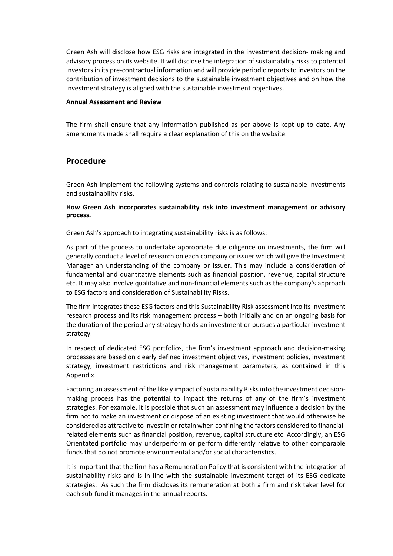Green Ash will disclose how ESG risks are integrated in the investment decision- making and advisory process on its website. It will disclose the integration of sustainability risks to potential investors in its pre-contractual information and will provide periodic reports to investors on the contribution of investment decisions to the sustainable investment objectives and on how the investment strategy is aligned with the sustainable investment objectives.

#### **Annual Assessment and Review**

The firm shall ensure that any information published as per above is kept up to date. Any amendments made shall require a clear explanation of this on the website.

### **Procedure**

Green Ash implement the following systems and controls relating to sustainable investments and sustainability risks.

### **How Green Ash incorporates sustainability risk into investment management or advisory process.**

Green Ash's approach to integrating sustainability risks is as follows:

As part of the process to undertake appropriate due diligence on investments, the firm will generally conduct a level of research on each company or issuer which will give the Investment Manager an understanding of the company or issuer. This may include a consideration of fundamental and quantitative elements such as financial position, revenue, capital structure etc. It may also involve qualitative and non-financial elements such as the company's approach to ESG factors and consideration of Sustainability Risks.

The firm integrates these ESG factors and this Sustainability Risk assessment into its investment research process and its risk management process – both initially and on an ongoing basis for the duration of the period any strategy holds an investment or pursues a particular investment strategy.

In respect of dedicated ESG portfolios, the firm's investment approach and decision-making processes are based on clearly defined investment objectives, investment policies, investment strategy, investment restrictions and risk management parameters, as contained in this Appendix.

Factoring an assessment of the likely impact of Sustainability Risks into the investment decisionmaking process has the potential to impact the returns of any of the firm's investment strategies. For example, it is possible that such an assessment may influence a decision by the firm not to make an investment or dispose of an existing investment that would otherwise be considered as attractive to invest in or retain when confining the factors considered to financialrelated elements such as financial position, revenue, capital structure etc. Accordingly, an ESG Orientated portfolio may underperform or perform differently relative to other comparable funds that do not promote environmental and/or social characteristics.

It is important that the firm has a Remuneration Policy that is consistent with the integration of sustainability risks and is in line with the sustainable investment target of its ESG dedicate strategies. As such the firm discloses its remuneration at both a firm and risk taker level for each sub-fund it manages in the annual reports.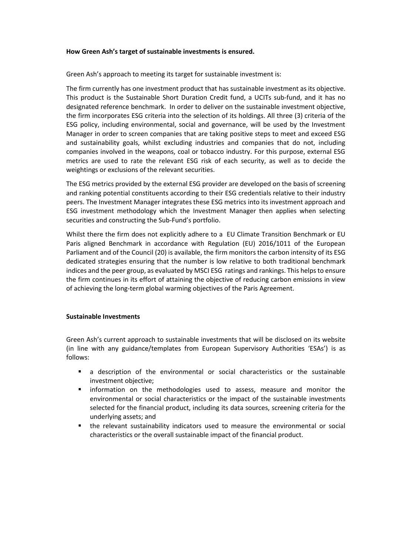#### **How Green Ash's target of sustainable investments is ensured.**

Green Ash's approach to meeting its target for sustainable investment is:

The firm currently has one investment product that has sustainable investment as its objective. This product is the Sustainable Short Duration Credit fund, a UCITs sub-fund, and it has no designated reference benchmark. In order to deliver on the sustainable investment objective, the firm incorporates ESG criteria into the selection of its holdings. All three (3) criteria of the ESG policy, including environmental, social and governance, will be used by the Investment Manager in order to screen companies that are taking positive steps to meet and exceed ESG and sustainability goals, whilst excluding industries and companies that do not, including companies involved in the weapons, coal or tobacco industry. For this purpose, external ESG metrics are used to rate the relevant ESG risk of each security, as well as to decide the weightings or exclusions of the relevant securities.

The ESG metrics provided by the external ESG provider are developed on the basis of screening and ranking potential constituents according to their ESG credentials relative to their industry peers. The Investment Manager integrates these ESG metrics into its investment approach and ESG investment methodology which the Investment Manager then applies when selecting securities and constructing the Sub-Fund's portfolio.

Whilst there the firm does not explicitly adhere to a EU Climate Transition Benchmark or EU Paris aligned Benchmark in accordance with Regulation (EU) 2016/1011 of the European Parliament and of the Council (20) is available, the firm monitors the carbon intensity of its ESG dedicated strategies ensuring that the number is low relative to both traditional benchmark indices and the peer group, as evaluated by MSCI ESG ratings and rankings. This helps to ensure the firm continues in its effort of attaining the objective of reducing carbon emissions in view of achieving the long-term global warming objectives of the Paris Agreement.

#### **Sustainable Investments**

Green Ash's current approach to sustainable investments that will be disclosed on its website (in line with any guidance/templates from European Supervisory Authorities 'ESAs') is as follows:

- a description of the environmental or social characteristics or the sustainable investment objective;
- **■** information on the methodologies used to assess, measure and monitor the environmental or social characteristics or the impact of the sustainable investments selected for the financial product, including its data sources, screening criteria for the underlying assets; and
- the relevant sustainability indicators used to measure the environmental or social characteristics or the overall sustainable impact of the financial product.